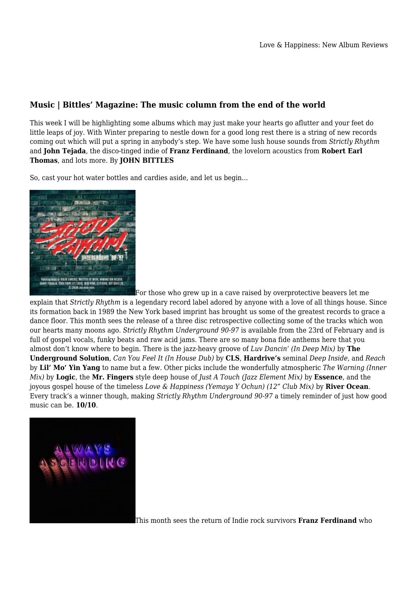## **Music | Bittles' Magazine: The music column from the end of the world**

This week I will be highlighting some albums which may just make your hearts go aflutter and your feet do little leaps of joy. With Winter preparing to nestle down for a good long rest there is a string of new records coming out which will put a spring in anybody's step. We have some lush house sounds from *Strictly Rhythm* and **John Tejada**, the disco-tinged indie of **Franz Ferdinand**, the lovelorn acoustics from **Robert Earl Thomas**, and lots more. By **JOHN BITTLES**

So, cast your hot water bottles and cardies aside, and let us begin…



For those who grew up in a cave raised by overprotective beavers let me explain that *Strictly Rhythm* is a legendary record label adored by anyone with a love of all things house. Since its formation back in 1989 the New York based imprint has brought us some of the greatest records to grace a dance floor. This month sees the release of a three disc retrospective collecting some of the tracks which won our hearts many moons ago. *Strictly Rhythm Underground 90-97* is available from the 23rd of February and is full of gospel vocals, funky beats and raw acid jams. There are so many bona fide anthems here that you almost don't know where to begin. There is the jazz-heavy groove of *Luv Dancin' (In Deep Mix)* by **The Underground Solution**, *Can You Feel It (In House Dub)* by **CLS**, **Hardrive's** seminal *Deep Inside*, and *Reach* by **Lil' Mo' Yin Yang** to name but a few. Other picks include the wonderfully atmospheric *The Warning (Inner Mix)* by **Logic**, the **Mr. Fingers** style deep house of *Just A Touch (Jazz Element Mix)* by **Essence**, and the joyous gospel house of the timeless *Love & Happiness (Yemaya Y Ochun) (12" Club Mix)* by **River Ocean**. Every track's a winner though, making *Strictly Rhythm Underground 90-97* a timely reminder of just how good music can be. **10/10**.



This month sees the return of Indie rock survivors **Franz Ferdinand** who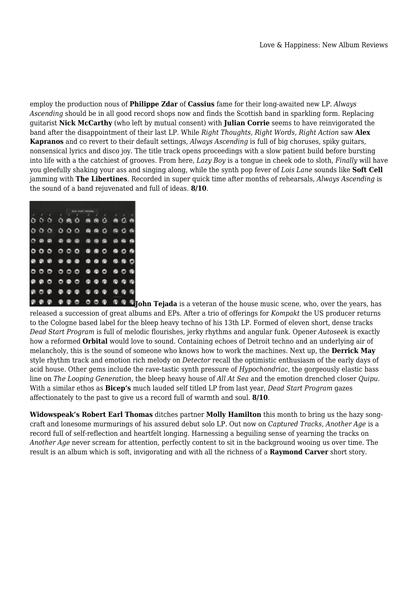employ the production nous of **Philippe Zdar** of **Cassius** fame for their long-awaited new LP. *Always Ascending* should be in all good record shops now and finds the Scottish band in sparkling form. Replacing guitarist **Nick McCarthy** (who left by mutual consent) with **Julian Corrie** seems to have reinvigorated the band after the disappointment of their last LP. While *Right Thoughts, Right Words, Right Action* saw **Alex Kapranos** and co revert to their default settings, *Always Ascending* is full of big choruses, spiky guitars, nonsensical lyrics and disco joy. The title track opens proceedings with a slow patient build before bursting into life with a the catchiest of grooves. From here, *Lazy Boy* is a tongue in cheek ode to sloth, *Finally* will have you gleefully shaking your ass and singing along, while the synth pop fever of *Lois Lane* sounds like **Soft Cell** jamming with **The Libertines**. Recorded in super quick time after months of rehearsals, *Always Ascending* is the sound of a band rejuvenated and full of ideas. **8/10**.

|     |   |   | Q. | 0.        |                                                                                                      |   | 88 O   | 19 Q.     | ×<br>e    |
|-----|---|---|----|-----------|------------------------------------------------------------------------------------------------------|---|--------|-----------|-----------|
| 000 |   |   |    |           | $000$ @ @ $0$                                                                                        |   |        | 80 Q      |           |
|     | . |   |    |           | $\begin{array}{ccccccccccccccccc} \circ & \circ & \circ & \circ & \circ & \circ & \circ \end{array}$ |   |        |           | 88 B      |
| 000 |   |   |    |           | 000000                                                                                               |   |        | 60 O      | $\bullet$ |
|     |   |   |    |           | $00000000000$                                                                                        |   |        |           | 89 B O    |
|     |   |   |    |           | $\circ\circ\circ\circ\circ\bullet\bullet\circ$                                                       |   |        |           | 000       |
| 000 |   |   |    |           | $\circ\circ\circ\circ\circ$                                                                          |   |        | ີ         |           |
| 000 |   |   |    |           |                                                                                                      |   |        | <b>QQ</b> | ۰         |
|     | മ | െ | െ  | <b>CO</b> | ш                                                                                                    | ٠ | $\sim$ |           | െ.        |

**John Tejada** is a veteran of the house music scene, who, over the years, has released a succession of great albums and EPs. After a trio of offerings for *Kompakt* the US producer returns to the Cologne based label for the bleep heavy techno of his 13th LP. Formed of eleven short, dense tracks *Dead Start Program* is full of melodic flourishes, jerky rhythms and angular funk. Opener *Autoseek* is exactly how a reformed **Orbital** would love to sound. Containing echoes of Detroit techno and an underlying air of melancholy, this is the sound of someone who knows how to work the machines. Next up, the **Derrick May** style rhythm track and emotion rich melody on *Detector* recall the optimistic enthusiasm of the early days of acid house. Other gems include the rave-tastic synth pressure of *Hypochondriac*, the gorgeously elastic bass line on *The Looping Generation*, the bleep heavy house of *All At Sea* and the emotion drenched closer *Quipu.* With a similar ethos as **Bicep's** much lauded self titled LP from last year, *Dead Start Program* gazes affectionately to the past to give us a record full of warmth and soul. **8/10**.

**Widowspeak's Robert Earl Thomas** ditches partner **Molly Hamilton** this month to bring us the hazy songcraft and lonesome murmurings of his assured debut solo LP. Out now on *Captured Tracks*, *Another Age* is a record full of self-reflection and heartfelt longing. Harnessing a beguiling sense of yearning the tracks on *Another Age* never scream for attention, perfectly content to sit in the background wooing us over time. The result is an album which is soft, invigorating and with all the richness of a **Raymond Carver** short story.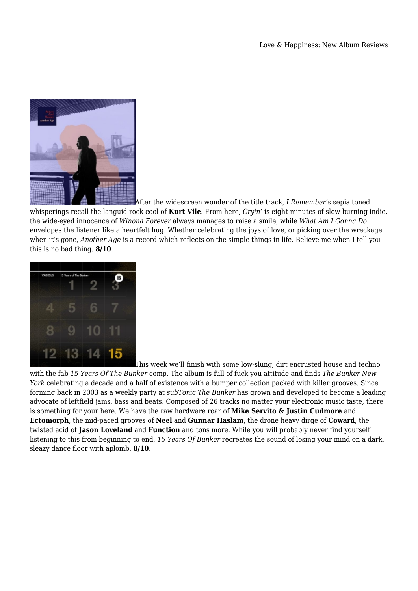

After the widescreen wonder of the title track, *I Remember's* sepia toned whisperings recall the languid rock cool of **Kurt Vile**. From here, *Cryin'* is eight minutes of slow burning indie, the wide-eyed innocence of *Winona Forever* always manages to raise a smile, while *What Am I Gonna Do* envelopes the listener like a heartfelt hug. Whether celebrating the joys of love, or picking over the wreckage when it's gone, *Another Age* is a record which reflects on the simple things in life. Believe me when I tell you this is no bad thing. **8/10**.



This week we'll finish with some low-slung, dirt encrusted house and techno

with the fab *15 Years Of The Bunker* comp. The album is full of fuck you attitude and finds *The Bunker New York* celebrating a decade and a half of existence with a bumper collection packed with killer grooves. Since forming back in 2003 as a weekly party at *subTonic The Bunker* has grown and developed to become a leading advocate of leftfield jams, bass and beats. Composed of 26 tracks no matter your electronic music taste, there is something for your here. We have the raw hardware roar of **Mike Servito & Justin Cudmore** and **Ectomorph**, the mid-paced grooves of **Neel** and **Gunnar Haslam**, the drone heavy dirge of **Coward**, the twisted acid of **Jason Loveland** and **Function** and tons more. While you will probably never find yourself listening to this from beginning to end, *15 Years Of Bunker* recreates the sound of losing your mind on a dark, sleazy dance floor with aplomb. **8/10**.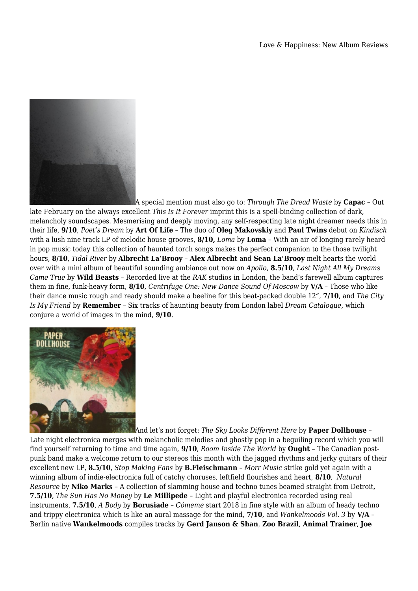

A special mention must also go to: *Through The Dread Waste* by **Capac** – Out

late February on the always excellent *This Is It Forever* imprint this is a spell-binding collection of dark, melancholy soundscapes. Mesmerising and deeply moving, any self-respecting late night dreamer needs this in their life, **9/10**, *Poet's Dream* by **Art Of Life** – The duo of **Oleg Makovskiy** and **Paul Twins** debut on *Kindisch* with a lush nine track LP of melodic house grooves, **8/10,** *Loma* by **Loma** – With an air of longing rarely heard in pop music today this collection of haunted torch songs makes the perfect companion to the those twilight hours, **8/10**, *Tidal River* by **Albrecht La'Brooy** – **Alex Albrecht** and **Sean La'Brooy** melt hearts the world over with a mini album of beautiful sounding ambiance out now on *Apollo*, **8.5/10**, *Last Night All My Dreams Came True* by **Wild Beasts** – Recorded live at the *RAK* studios in London, the band's farewell album captures them in fine, funk-heavy form, **8/10**, *Centrifuge One: New Dance Sound Of Moscow* by **V/A** – Those who like their dance music rough and ready should make a beeline for this beat-packed double 12", **7/10**, and *The City Is My Friend* by **Remember** – Six tracks of haunting beauty from London label *Dream Catalogue,* which conjure a world of images in the mind, **9/10**.



And let's not forget: *The Sky Looks Different Here* by **Paper Dollhouse** –

Late night electronica merges with melancholic melodies and ghostly pop in a beguiling record which you will find yourself returning to time and time again, **9/10**, *Room Inside The World* by **Ought** – The Canadian postpunk band make a welcome return to our stereos this month with the jagged rhythms and jerky guitars of their excellent new LP, **8.5/10**, *Stop Making Fans* by **B.Fleischmann** – *Morr Music* strike gold yet again with a winning album of indie-electronica full of catchy choruses, leftfield flourishes and heart, **8/10**, *Natural Resource* by **Niko Marks** – A collection of slamming house and techno tunes beamed straight from Detroit, **7.5/10**, *The Sun Has No Money* by **Le Millipede** – Light and playful electronica recorded using real instruments, **7.5/10**, *A Body* by **Borusiade** – *Cómeme* start 2018 in fine style with an album of heady techno and trippy electronica which is like an aural massage for the mind, **7/10**, and *Wankelmoods Vol. 3* by **V/A** – Berlin native **Wankelmoods** compiles tracks by **Gerd Janson & Shan**, **Zoo Brazil**, **Animal Trainer**, **Joe**